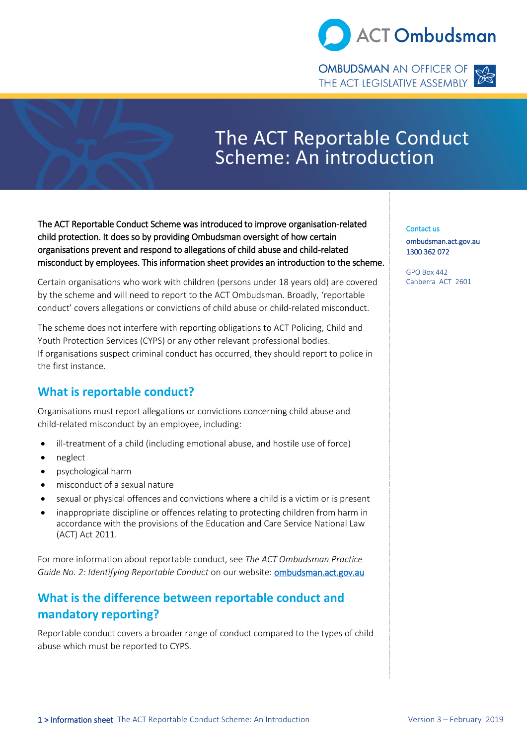

**OMBUDSMAN** AN OFFICER OF THE ACT LEGISLATIVE ASSEMBLY



# The ACT Reportable Conduct Scheme: An introduction

The ACT Reportable Conduct Scheme was introduced to improve organisation-related child protection. It does so by providing Ombudsman oversight of how certain organisations prevent and respond to allegations of child abuse and child-related misconduct by employees. This information sheet provides an introduction to the scheme.

Certain organisations who work with children (persons under 18 years old) are covered by the scheme and will need to report to the ACT Ombudsman. Broadly, 'reportable conduct' covers allegations or convictions of child abuse or child-related misconduct.

The scheme does not interfere with reporting obligations to ACT Policing, Child and Youth Protection Services (CYPS) or any other relevant professional bodies. If organisations suspect criminal conduct has occurred, they should report to police in the first instance.

# **What is reportable conduct?**

Organisations must report allegations or convictions concerning child abuse and child-related misconduct by an employee, including:

- ill-treatment of a child (including emotional abuse, and hostile use of force)
- neglect
- psychological harm
- misconduct of a sexual nature
- sexual or physical offences and convictions where a child is a victim or is present
- inappropriate discipline or offences relating to protecting children from harm in accordance with the provisions of the Education and Care Service National Law (ACT) Act 2011.

For more information about reportable conduct, see *The ACT Ombudsman Practice Guide No. 2: Identifying Reportable Conduct* on our website[: ombudsman.act.gov.au](ombudsman.gov.au)

# **What is the difference between reportable conduct and mandatory reporting?**

Reportable conduct covers a broader range of conduct compared to the types of child abuse which must be reported to CYPS.

Contact us [ombudsman.act.gov.au](http://www.ombudsman.gov.au/)  1300 362 072

GPO Box 442 Canberra ACT 2601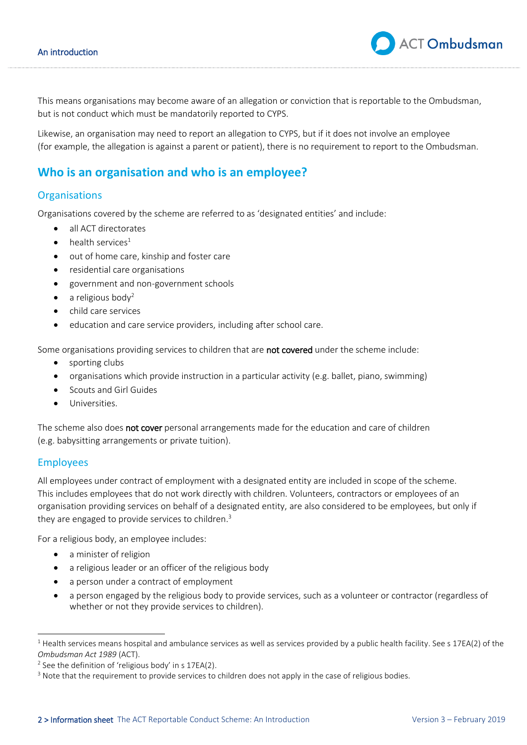This means organisations may become aware of an allegation or conviction that is reportable to the Ombudsman, but is not conduct which must be mandatorily reported to CYPS.

Likewise, an organisation may need to report an allegation to CYPS, but if it does not involve an employee (for example, the allegation is against a parent or patient), there is no requirement to report to the Ombudsman.

## **Who is an organisation and who is an employee?**

#### **Organisations**

Organisations covered by the scheme are referred to as 'designated entities' and include:

- all ACT directorates
- health services<sup>1</sup>
- out of home care, kinship and foster care
- residential care organisations
- government and non-government schools
- a religious body<sup>2</sup>
- child care services
- education and care service providers, including after school care.

Some organisations providing services to children that are not covered under the scheme include:

- sporting clubs
- organisations which provide instruction in a particular activity (e.g. ballet, piano, swimming)
- Scouts and Girl Guides
- Universities.

The scheme also does not cover personal arrangements made for the education and care of children (e.g. babysitting arrangements or private tuition).

#### Employees

All employees under contract of employment with a designated entity are included in scope of the scheme. This includes employees that do not work directly with children. Volunteers, contractors or employees of an organisation providing services on behalf of a designated entity, are also considered to be employees, but only if they are engaged to provide services to children.<sup>3</sup>

For a religious body, an employee includes:

- a minister of religion
- a religious leader or an officer of the religious body
- a person under a contract of employment
- a person engaged by the religious body to provide services, such as a volunteer or contractor (regardless of whether or not they provide services to children).

**ACT Ombudsman** 

 $^1$  Health services means hospital and ambulance services as well as services provided by a public health facility. See s 17EA(2) of the *Ombudsman Act 1989* (ACT).

<sup>&</sup>lt;sup>2</sup> See the definition of 'religious body' in s  $17EA(2)$ .

<sup>&</sup>lt;sup>3</sup> Note that the requirement to provide services to children does not apply in the case of religious bodies.